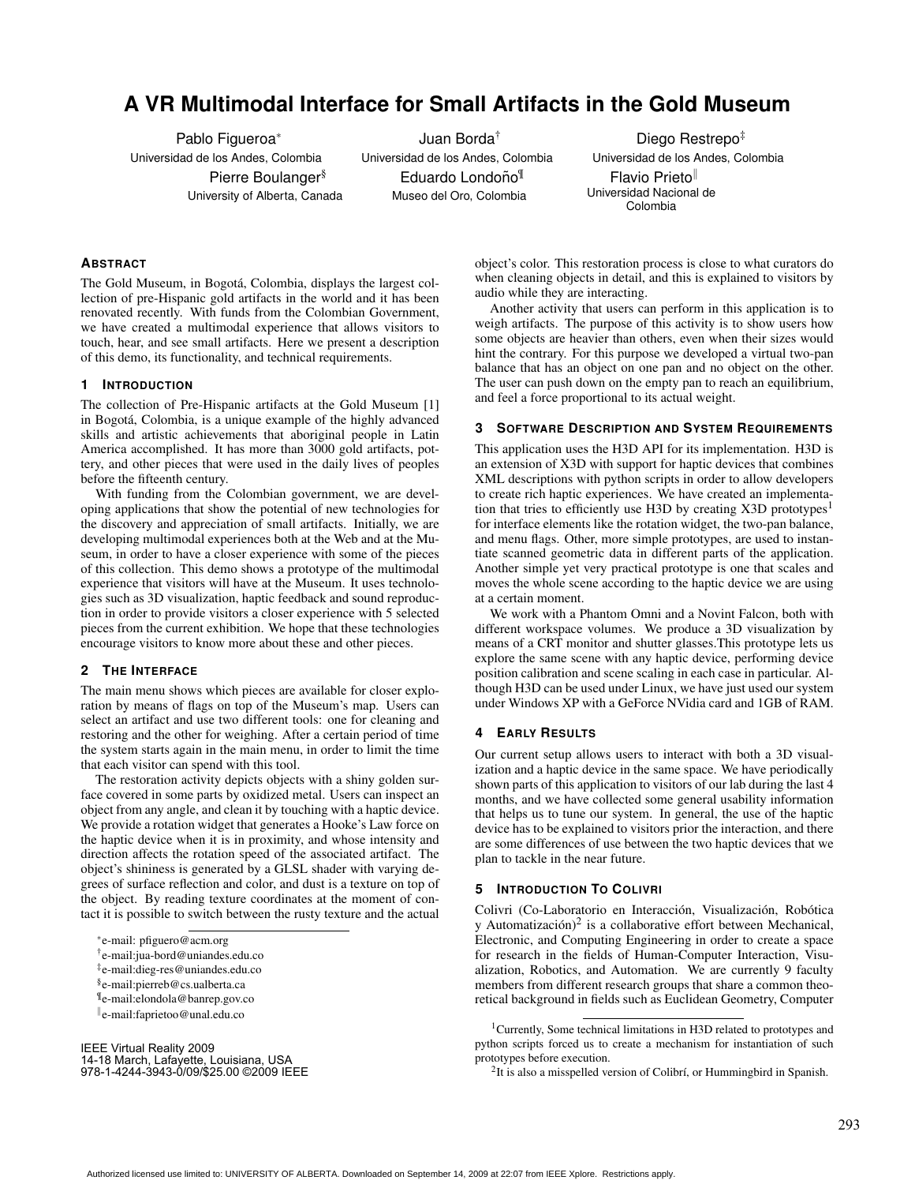# **A VR Multimodal Interface for Small Artifacts in the Gold Museum**

Pablo Figueroa<sup>∗</sup> Universidad de los Andes, Colombia Pierre Boulanger<sup>§</sup> University of Alberta, Canada

Juan Borda† Universidad de los Andes, Colombia Eduardo Londoño<sup>¶</sup> Museo del Oro, Colombia

Diego Restrepo<sup>#</sup> Universidad de los Andes, Colombia Flavio Prieto<sup>ll</sup> Universidad Nacional de Colombia

# **ABSTRACT**

The Gold Museum, in Bogotá, Colombia, displays the largest collection of pre-Hispanic gold artifacts in the world and it has been renovated recently. With funds from the Colombian Government, we have created a multimodal experience that allows visitors to touch, hear, and see small artifacts. Here we present a description of this demo, its functionality, and technical requirements.

#### **1 INTRODUCTION**

The collection of Pre-Hispanic artifacts at the Gold Museum [1] in Bogota, Colombia, is a unique example of the highly advanced ´ skills and artistic achievements that aboriginal people in Latin America accomplished. It has more than 3000 gold artifacts, pottery, and other pieces that were used in the daily lives of peoples before the fifteenth century.

With funding from the Colombian government, we are developing applications that show the potential of new technologies for the discovery and appreciation of small artifacts. Initially, we are developing multimodal experiences both at the Web and at the Museum, in order to have a closer experience with some of the pieces of this collection. This demo shows a prototype of the multimodal experience that visitors will have at the Museum. It uses technologies such as 3D visualization, haptic feedback and sound reproduction in order to provide visitors a closer experience with 5 selected pieces from the current exhibition. We hope that these technologies encourage visitors to know more about these and other pieces.

#### **2 THE INTERFACE**

The main menu shows which pieces are available for closer exploration by means of flags on top of the Museum's map. Users can select an artifact and use two different tools: one for cleaning and restoring and the other for weighing. After a certain period of time the system starts again in the main menu, in order to limit the time that each visitor can spend with this tool.

The restoration activity depicts objects with a shiny golden surface covered in some parts by oxidized metal. Users can inspect an object from any angle, and clean it by touching with a haptic device. We provide a rotation widget that generates a Hooke's Law force on the haptic device when it is in proximity, and whose intensity and direction affects the rotation speed of the associated artifact. The object's shininess is generated by a GLSL shader with varying degrees of surface reflection and color, and dust is a texture on top of the object. By reading texture coordinates at the moment of contact it is possible to switch between the rusty texture and the actual

∗ e-mail: pfiguero@acm.org

IEEE Virtual Reality 2009 14-18 March, Lafayette, Louisiana, USA 978-1-4244-3943-0/09/\$25.00 ©2009 IEEE

object's color. This restoration process is close to what curators do when cleaning objects in detail, and this is explained to visitors by audio while they are interacting.

Another activity that users can perform in this application is to weigh artifacts. The purpose of this activity is to show users how some objects are heavier than others, even when their sizes would hint the contrary. For this purpose we developed a virtual two-pan balance that has an object on one pan and no object on the other. The user can push down on the empty pan to reach an equilibrium, and feel a force proportional to its actual weight.

# **3 SOFTWARE DESCRIPTION AND SYSTEM REQUIREMENTS**

This application uses the H3D API for its implementation. H3D is an extension of X3D with support for haptic devices that combines XML descriptions with python scripts in order to allow developers to create rich haptic experiences. We have created an implementation that tries to efficiently use H3D by creating X3D prototypes<sup>1</sup> for interface elements like the rotation widget, the two-pan balance, and menu flags. Other, more simple prototypes, are used to instantiate scanned geometric data in different parts of the application. Another simple yet very practical prototype is one that scales and moves the whole scene according to the haptic device we are using at a certain moment.

We work with a Phantom Omni and a Novint Falcon, both with different workspace volumes. We produce a 3D visualization by means of a CRT monitor and shutter glasses.This prototype lets us explore the same scene with any haptic device, performing device position calibration and scene scaling in each case in particular. Although H3D can be used under Linux, we have just used our system under Windows XP with a GeForce NVidia card and 1GB of RAM.

#### **4 EARLY RESULTS**

Our current setup allows users to interact with both a 3D visualization and a haptic device in the same space. We have periodically shown parts of this application to visitors of our lab during the last 4 months, and we have collected some general usability information that helps us to tune our system. In general, the use of the haptic device has to be explained to visitors prior the interaction, and there are some differences of use between the two haptic devices that we plan to tackle in the near future.

# **5 INTRODUCTION TO COLIVRI**

Colivri (Co-Laboratorio en Interacción, Visualización, Robótica y Automatización) $^2$  is a collaborative effort between Mechanical, Electronic, and Computing Engineering in order to create a space for research in the fields of Human-Computer Interaction, Visualization, Robotics, and Automation. We are currently 9 faculty members from different research groups that share a common theoretical background in fields such as Euclidean Geometry, Computer

<sup>†</sup> e-mail:jua-bord@uniandes.edu.co

<sup>‡</sup> e-mail:dieg-res@uniandes.edu.co

<sup>§</sup> e-mail:pierreb@cs.ualberta.ca

<sup>¶</sup> e-mail:elondola@banrep.gov.co

k e-mail:faprietoo@unal.edu.co

<sup>&</sup>lt;sup>1</sup>Currently, Some technical limitations in H3D related to prototypes and python scripts forced us to create a mechanism for instantiation of such prototypes before execution.

 $2$ It is also a misspelled version of Colibrí, or Hummingbird in Spanish.